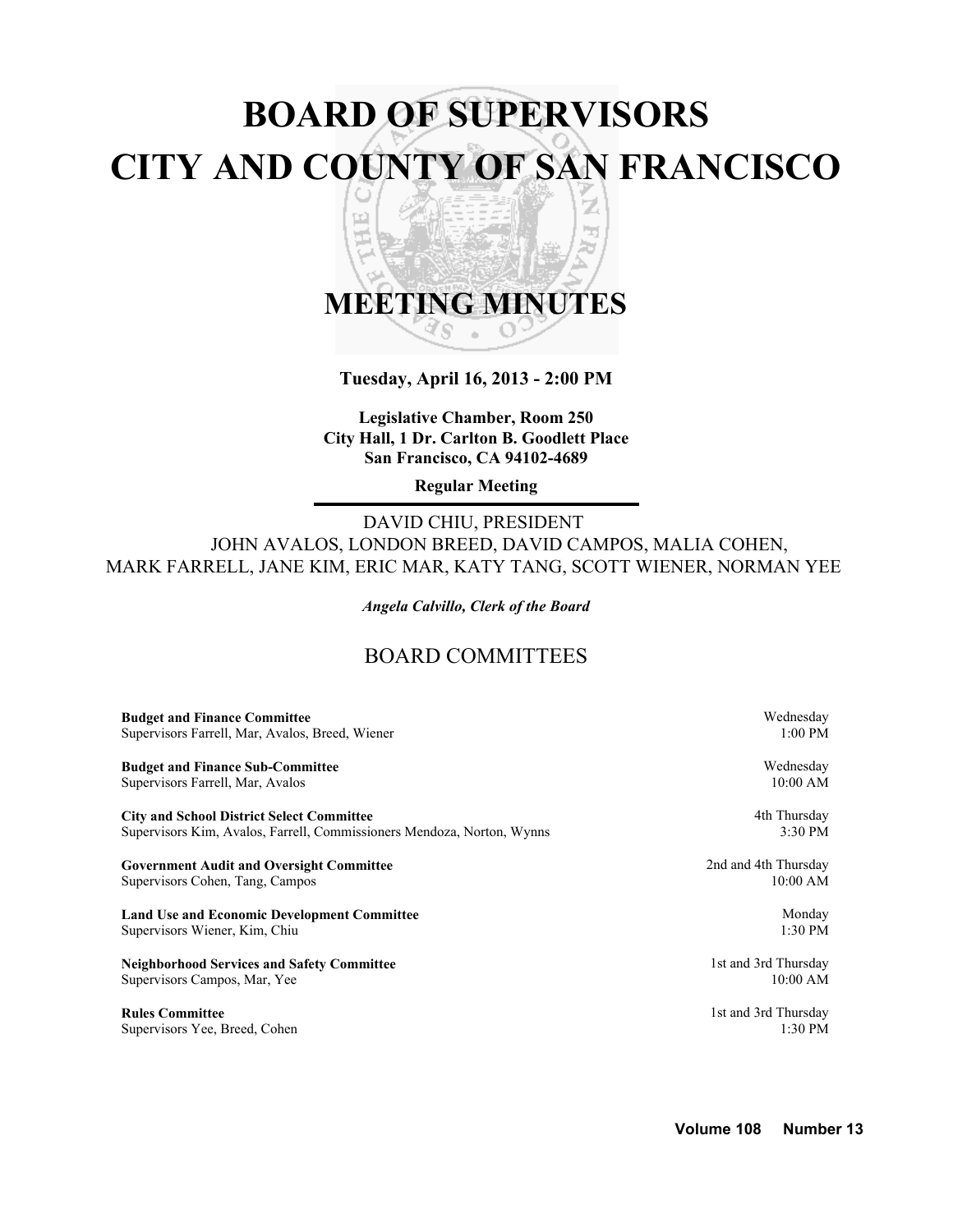# **BOARD OF SUPERVISORS CITY AND COUNTY OF SAN FRANCISCO** z

띠

## **MEETING MINUTES** `S

嗊 ਠ

**Tuesday, April 16, 2013 - 2:00 PM**

**Legislative Chamber, Room 250 City Hall, 1 Dr. Carlton B. Goodlett Place San Francisco, CA 94102-4689**

**Regular Meeting**

DAVID CHIU, PRESIDENT JOHN AVALOS, LONDON BREED, DAVID CAMPOS, MALIA COHEN, MARK FARRELL, JANE KIM, ERIC MAR, KATY TANG, SCOTT WIENER, NORMAN YEE

*Angela Calvillo, Clerk of the Board*

## BOARD COMMITTEES

| <b>Budget and Finance Committee</b>                                    | Wednesday            |
|------------------------------------------------------------------------|----------------------|
| Supervisors Farrell, Mar, Avalos, Breed, Wiener                        | $1:00$ PM            |
| <b>Budget and Finance Sub-Committee</b>                                | Wednesday            |
| Supervisors Farrell, Mar, Avalos                                       | 10:00 AM             |
| <b>City and School District Select Committee</b>                       | 4th Thursday         |
| Supervisors Kim, Avalos, Farrell, Commissioners Mendoza, Norton, Wynns | 3:30 PM              |
| <b>Government Audit and Oversight Committee</b>                        | 2nd and 4th Thursday |
| Supervisors Cohen, Tang, Campos                                        | $10:00$ AM           |
| <b>Land Use and Economic Development Committee</b>                     | Monday               |
| Supervisors Wiener, Kim, Chiu                                          | 1:30 PM              |
| <b>Neighborhood Services and Safety Committee</b>                      | 1st and 3rd Thursday |
| Supervisors Campos, Mar, Yee                                           | $10:00$ AM           |
| <b>Rules Committee</b>                                                 | 1st and 3rd Thursday |
| Supervisors Yee, Breed, Cohen                                          | $1:30$ PM            |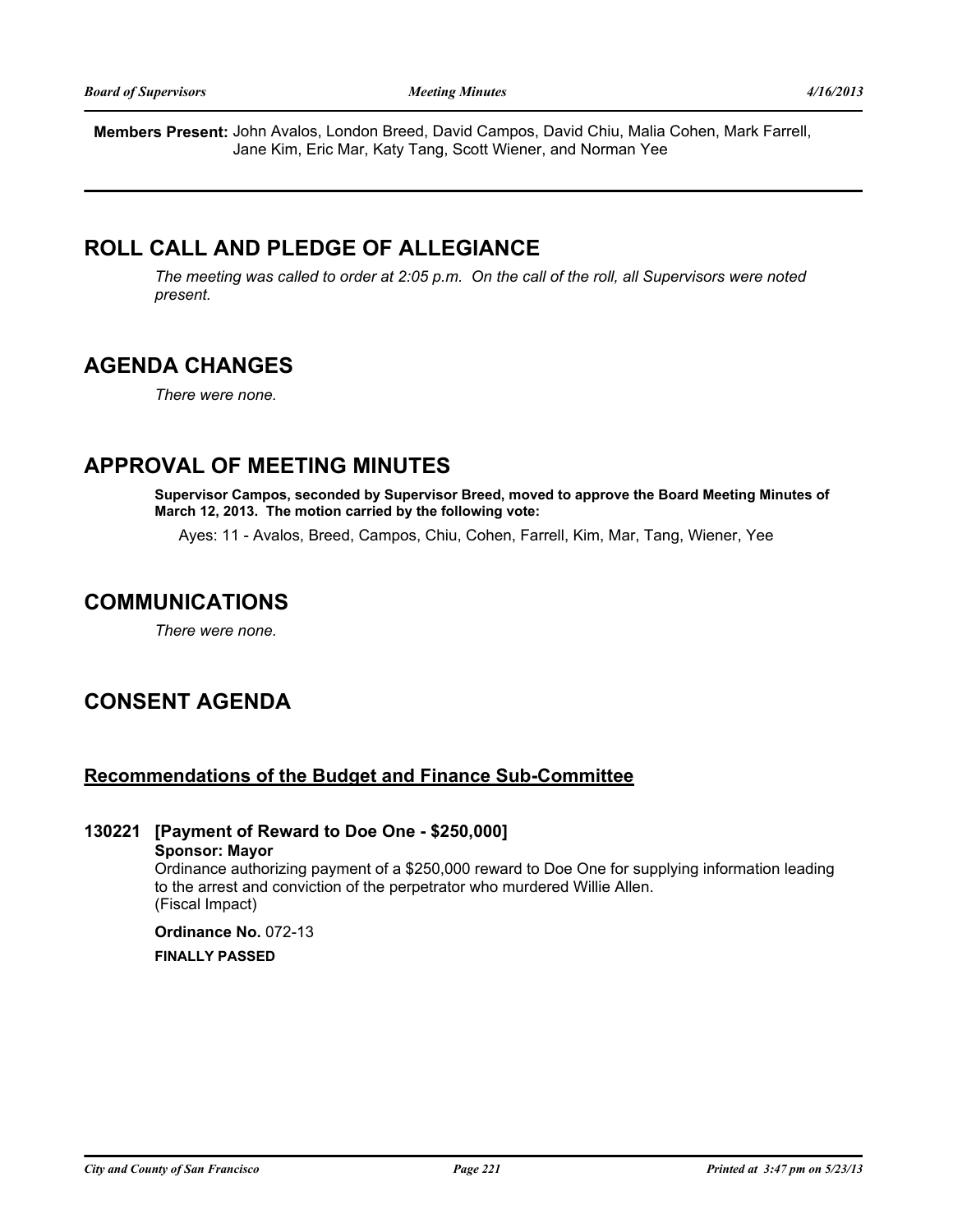**Members Present:** John Avalos, London Breed, David Campos, David Chiu, Malia Cohen, Mark Farrell, Jane Kim, Eric Mar, Katy Tang, Scott Wiener, and Norman Yee

## **ROLL CALL AND PLEDGE OF ALLEGIANCE**

*The meeting was called to order at 2:05 p.m. On the call of the roll, all Supervisors were noted present.*

## **AGENDA CHANGES**

*There were none.*

## **APPROVAL OF MEETING MINUTES**

**Supervisor Campos, seconded by Supervisor Breed, moved to approve the Board Meeting Minutes of March 12, 2013. The motion carried by the following vote:**

Ayes: 11 - Avalos, Breed, Campos, Chiu, Cohen, Farrell, Kim, Mar, Tang, Wiener, Yee

## **COMMUNICATIONS**

*There were none.*

## **CONSENT AGENDA**

### **Recommendations of the Budget and Finance Sub-Committee**

### **130221 [Payment of Reward to Doe One - \$250,000] Sponsor: Mayor** Ordinance authorizing payment of a \$250,000 reward to Doe One for supplying information leading to the arrest and conviction of the perpetrator who murdered Willie Allen. (Fiscal Impact)

**Ordinance No.** 072-13

**FINALLY PASSED**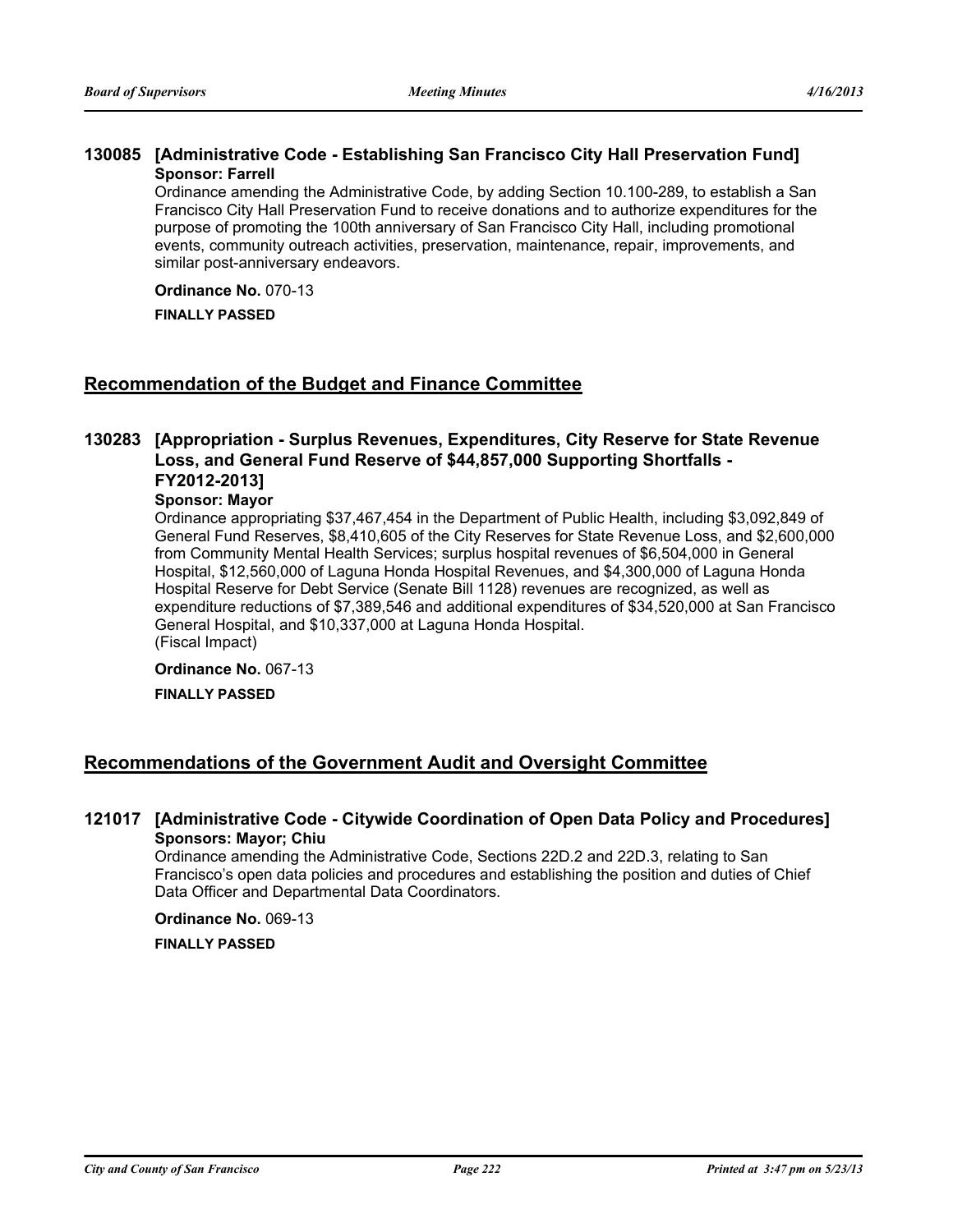### **130085 [Administrative Code - Establishing San Francisco City Hall Preservation Fund] Sponsor: Farrell**

Ordinance amending the Administrative Code, by adding Section 10.100-289, to establish a San Francisco City Hall Preservation Fund to receive donations and to authorize expenditures for the purpose of promoting the 100th anniversary of San Francisco City Hall, including promotional events, community outreach activities, preservation, maintenance, repair, improvements, and similar post-anniversary endeavors.

#### **Ordinance No.** 070-13

**FINALLY PASSED**

### **Recommendation of the Budget and Finance Committee**

### **130283 [Appropriation - Surplus Revenues, Expenditures, City Reserve for State Revenue Loss, and General Fund Reserve of \$44,857,000 Supporting Shortfalls - FY2012-2013]**

#### **Sponsor: Mayor**

Ordinance appropriating \$37,467,454 in the Department of Public Health, including \$3,092,849 of General Fund Reserves, \$8,410,605 of the City Reserves for State Revenue Loss, and \$2,600,000 from Community Mental Health Services; surplus hospital revenues of \$6,504,000 in General Hospital, \$12,560,000 of Laguna Honda Hospital Revenues, and \$4,300,000 of Laguna Honda Hospital Reserve for Debt Service (Senate Bill 1128) revenues are recognized, as well as expenditure reductions of \$7,389,546 and additional expenditures of \$34,520,000 at San Francisco General Hospital, and \$10,337,000 at Laguna Honda Hospital. (Fiscal Impact)

**Ordinance No.** 067-13 **FINALLY PASSED**

### **Recommendations of the Government Audit and Oversight Committee**

#### **121017 [Administrative Code - Citywide Coordination of Open Data Policy and Procedures] Sponsors: Mayor; Chiu**

Ordinance amending the Administrative Code, Sections 22D.2 and 22D.3, relating to San Francisco's open data policies and procedures and establishing the position and duties of Chief Data Officer and Departmental Data Coordinators.

## **Ordinance No.** 069-13

**FINALLY PASSED**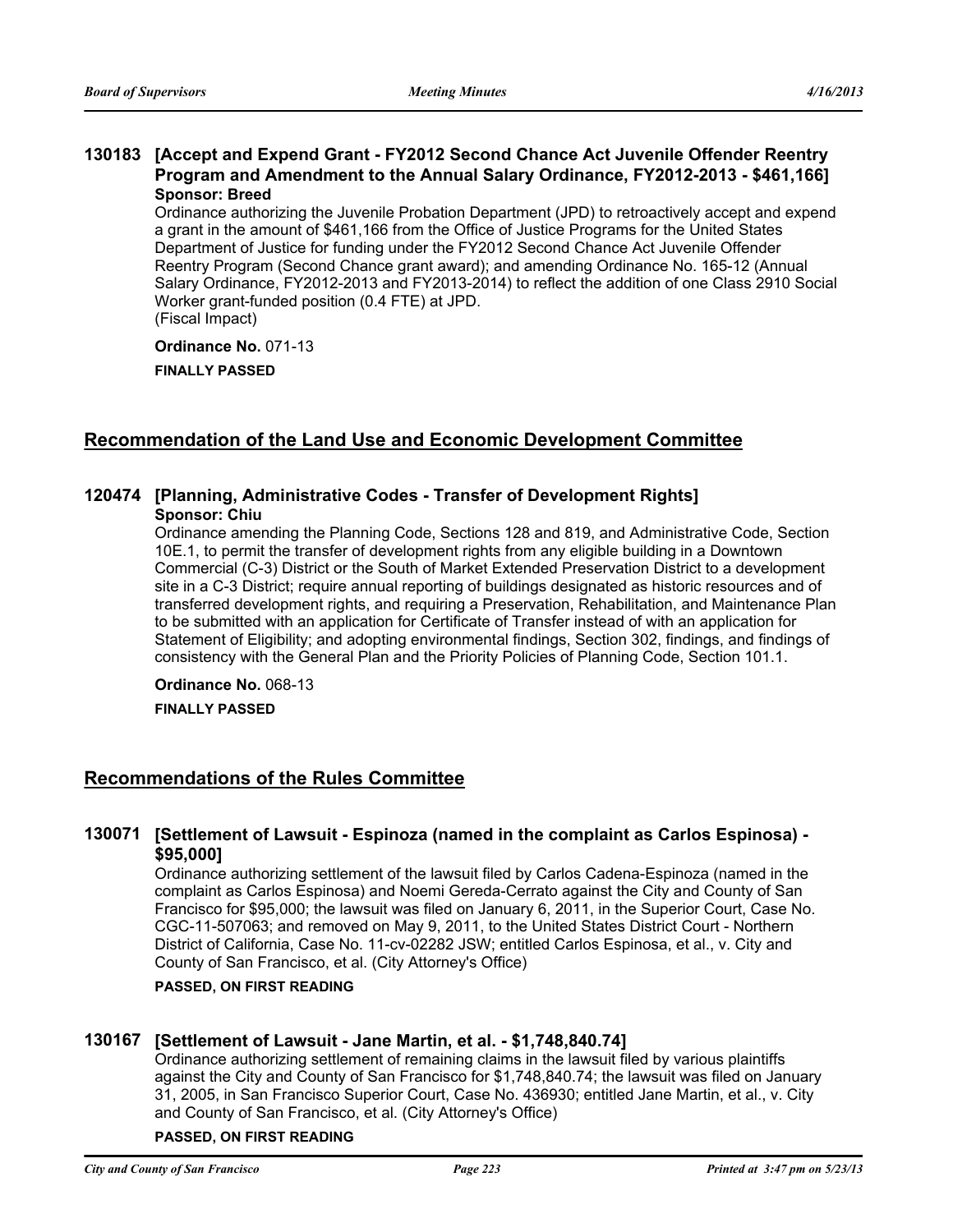### **130183 [Accept and Expend Grant - FY2012 Second Chance Act Juvenile Offender Reentry Program and Amendment to the Annual Salary Ordinance, FY2012-2013 - \$461,166] Sponsor: Breed**

Ordinance authorizing the Juvenile Probation Department (JPD) to retroactively accept and expend a grant in the amount of \$461,166 from the Office of Justice Programs for the United States Department of Justice for funding under the FY2012 Second Chance Act Juvenile Offender Reentry Program (Second Chance grant award); and amending Ordinance No. 165-12 (Annual Salary Ordinance, FY2012-2013 and FY2013-2014) to reflect the addition of one Class 2910 Social Worker grant-funded position (0.4 FTE) at JPD. (Fiscal Impact)

#### **Ordinance No.** 071-13

**FINALLY PASSED**

### **Recommendation of the Land Use and Economic Development Committee**

## **120474 [Planning, Administrative Codes - Transfer of Development Rights]**

**Sponsor: Chiu**

Ordinance amending the Planning Code, Sections 128 and 819, and Administrative Code, Section 10E.1, to permit the transfer of development rights from any eligible building in a Downtown Commercial (C-3) District or the South of Market Extended Preservation District to a development site in a C-3 District; require annual reporting of buildings designated as historic resources and of transferred development rights, and requiring a Preservation, Rehabilitation, and Maintenance Plan to be submitted with an application for Certificate of Transfer instead of with an application for Statement of Eligibility; and adopting environmental findings, Section 302, findings, and findings of consistency with the General Plan and the Priority Policies of Planning Code, Section 101.1.

**Ordinance No.** 068-13

**FINALLY PASSED**

### **Recommendations of the Rules Committee**

### **130071 [Settlement of Lawsuit - Espinoza (named in the complaint as Carlos Espinosa) - \$95,000]**

Ordinance authorizing settlement of the lawsuit filed by Carlos Cadena-Espinoza (named in the complaint as Carlos Espinosa) and Noemi Gereda-Cerrato against the City and County of San Francisco for \$95,000; the lawsuit was filed on January 6, 2011, in the Superior Court, Case No. CGC-11-507063; and removed on May 9, 2011, to the United States District Court - Northern District of California, Case No. 11-cv-02282 JSW; entitled Carlos Espinosa, et al., v. City and County of San Francisco, et al. (City Attorney's Office)

#### **PASSED, ON FIRST READING**

### **130167 [Settlement of Lawsuit - Jane Martin, et al. - \$1,748,840.74]**

Ordinance authorizing settlement of remaining claims in the lawsuit filed by various plaintiffs against the City and County of San Francisco for \$1,748,840.74; the lawsuit was filed on January 31, 2005, in San Francisco Superior Court, Case No. 436930; entitled Jane Martin, et al., v. City and County of San Francisco, et al. (City Attorney's Office)

#### **PASSED, ON FIRST READING**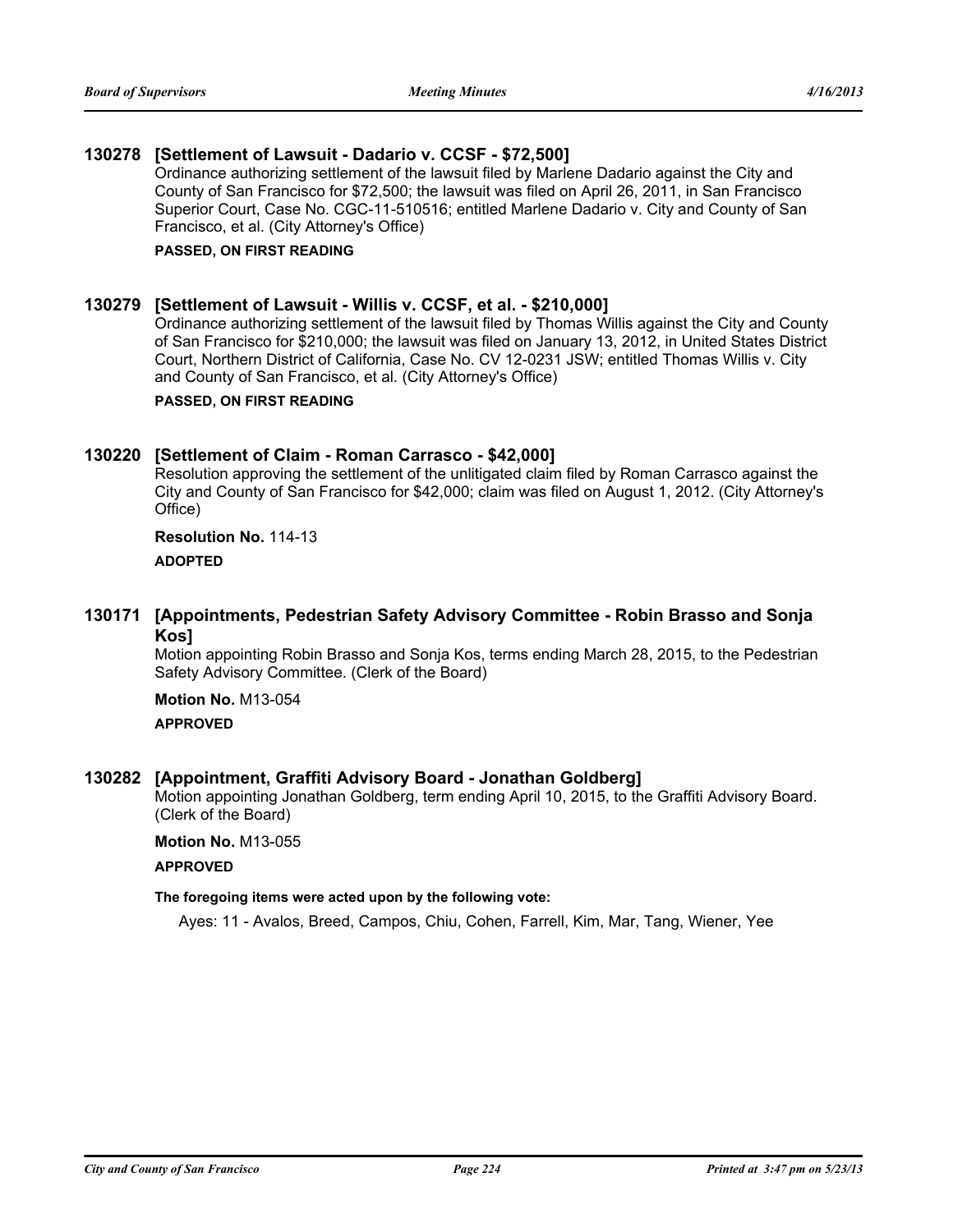### **130278 [Settlement of Lawsuit - Dadario v. CCSF - \$72,500]**

Ordinance authorizing settlement of the lawsuit filed by Marlene Dadario against the City and County of San Francisco for \$72,500; the lawsuit was filed on April 26, 2011, in San Francisco Superior Court, Case No. CGC-11-510516; entitled Marlene Dadario v. City and County of San Francisco, et al. (City Attorney's Office)

#### **PASSED, ON FIRST READING**

### **130279 [Settlement of Lawsuit - Willis v. CCSF, et al. - \$210,000]**

Ordinance authorizing settlement of the lawsuit filed by Thomas Willis against the City and County of San Francisco for \$210,000; the lawsuit was filed on January 13, 2012, in United States District Court, Northern District of California, Case No. CV 12-0231 JSW; entitled Thomas Willis v. City and County of San Francisco, et al. (City Attorney's Office)

#### **PASSED, ON FIRST READING**

### **130220 [Settlement of Claim - Roman Carrasco - \$42,000]**

Resolution approving the settlement of the unlitigated claim filed by Roman Carrasco against the City and County of San Francisco for \$42,000; claim was filed on August 1, 2012. (City Attorney's Office)

## **Resolution No.** 114-13

**ADOPTED**

### **130171 [Appointments, Pedestrian Safety Advisory Committee - Robin Brasso and Sonja Kos]**

Motion appointing Robin Brasso and Sonja Kos, terms ending March 28, 2015, to the Pedestrian Safety Advisory Committee. (Clerk of the Board)

**Motion No.** M13-054

#### **APPROVED**

### **130282 [Appointment, Graffiti Advisory Board - Jonathan Goldberg]**

Motion appointing Jonathan Goldberg, term ending April 10, 2015, to the Graffiti Advisory Board. (Clerk of the Board)

**Motion No.** M13-055

#### **APPROVED**

#### **The foregoing items were acted upon by the following vote:**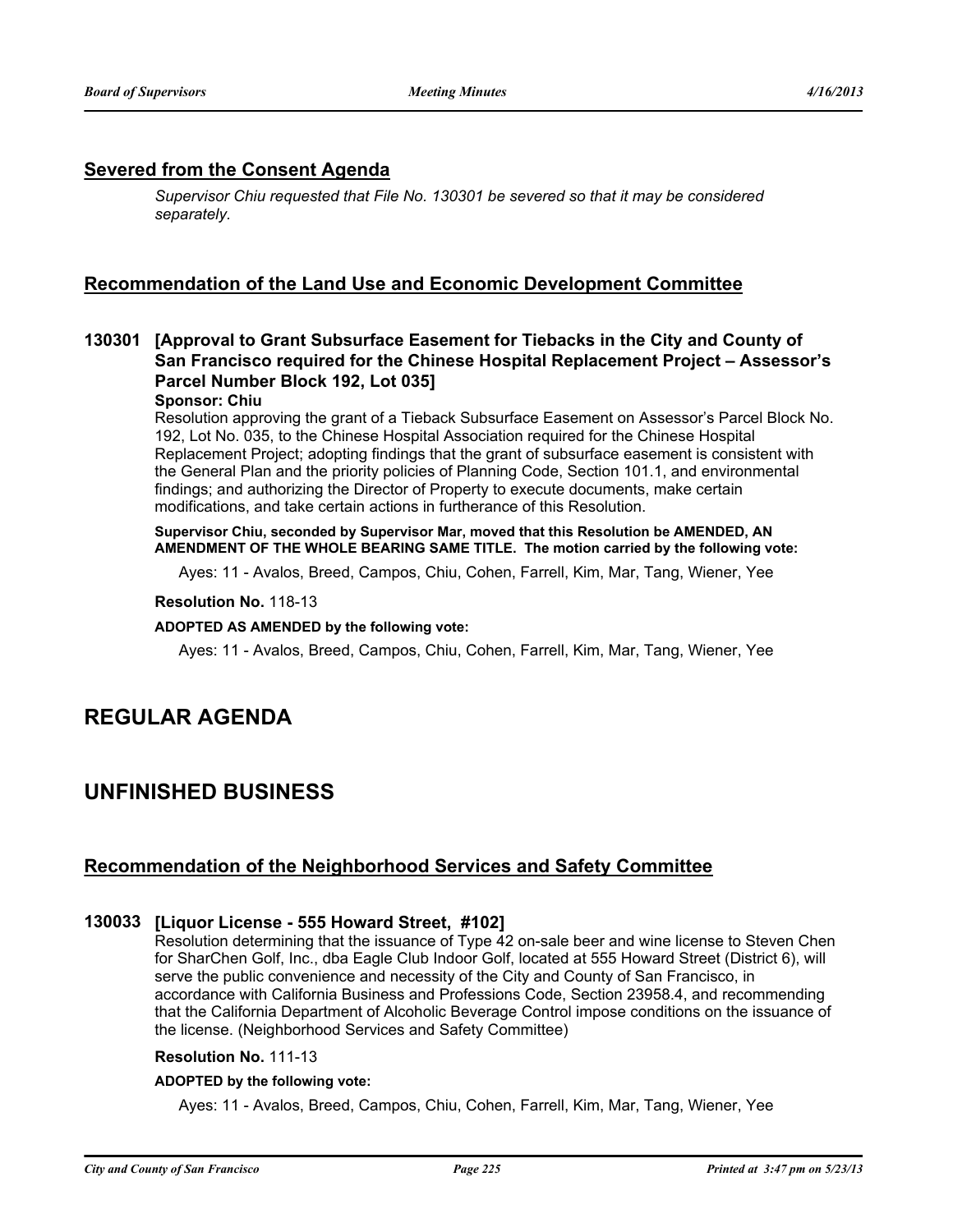### **Severed from the Consent Agenda**

*Supervisor Chiu requested that File No. 130301 be severed so that it may be considered separately.*

### **Recommendation of the Land Use and Economic Development Committee**

### **130301 [Approval to Grant Subsurface Easement for Tiebacks in the City and County of San Francisco required for the Chinese Hospital Replacement Project – Assessor's Parcel Number Block 192, Lot 035]**

#### **Sponsor: Chiu**

Resolution approving the grant of a Tieback Subsurface Easement on Assessor's Parcel Block No. 192, Lot No. 035, to the Chinese Hospital Association required for the Chinese Hospital Replacement Project; adopting findings that the grant of subsurface easement is consistent with the General Plan and the priority policies of Planning Code, Section 101.1, and environmental findings; and authorizing the Director of Property to execute documents, make certain modifications, and take certain actions in furtherance of this Resolution.

#### **Supervisor Chiu, seconded by Supervisor Mar, moved that this Resolution be AMENDED, AN AMENDMENT OF THE WHOLE BEARING SAME TITLE. The motion carried by the following vote:**

Ayes: 11 - Avalos, Breed, Campos, Chiu, Cohen, Farrell, Kim, Mar, Tang, Wiener, Yee

#### **Resolution No.** 118-13

#### **ADOPTED AS AMENDED by the following vote:**

Ayes: 11 - Avalos, Breed, Campos, Chiu, Cohen, Farrell, Kim, Mar, Tang, Wiener, Yee

## **REGULAR AGENDA**

## **UNFINISHED BUSINESS**

### **Recommendation of the Neighborhood Services and Safety Committee**

### **130033 [Liquor License - 555 Howard Street, #102]**

Resolution determining that the issuance of Type 42 on-sale beer and wine license to Steven Chen for SharChen Golf, Inc., dba Eagle Club Indoor Golf, located at 555 Howard Street (District 6), will serve the public convenience and necessity of the City and County of San Francisco, in accordance with California Business and Professions Code, Section 23958.4, and recommending that the California Department of Alcoholic Beverage Control impose conditions on the issuance of the license. (Neighborhood Services and Safety Committee)

#### **Resolution No.** 111-13

#### **ADOPTED by the following vote:**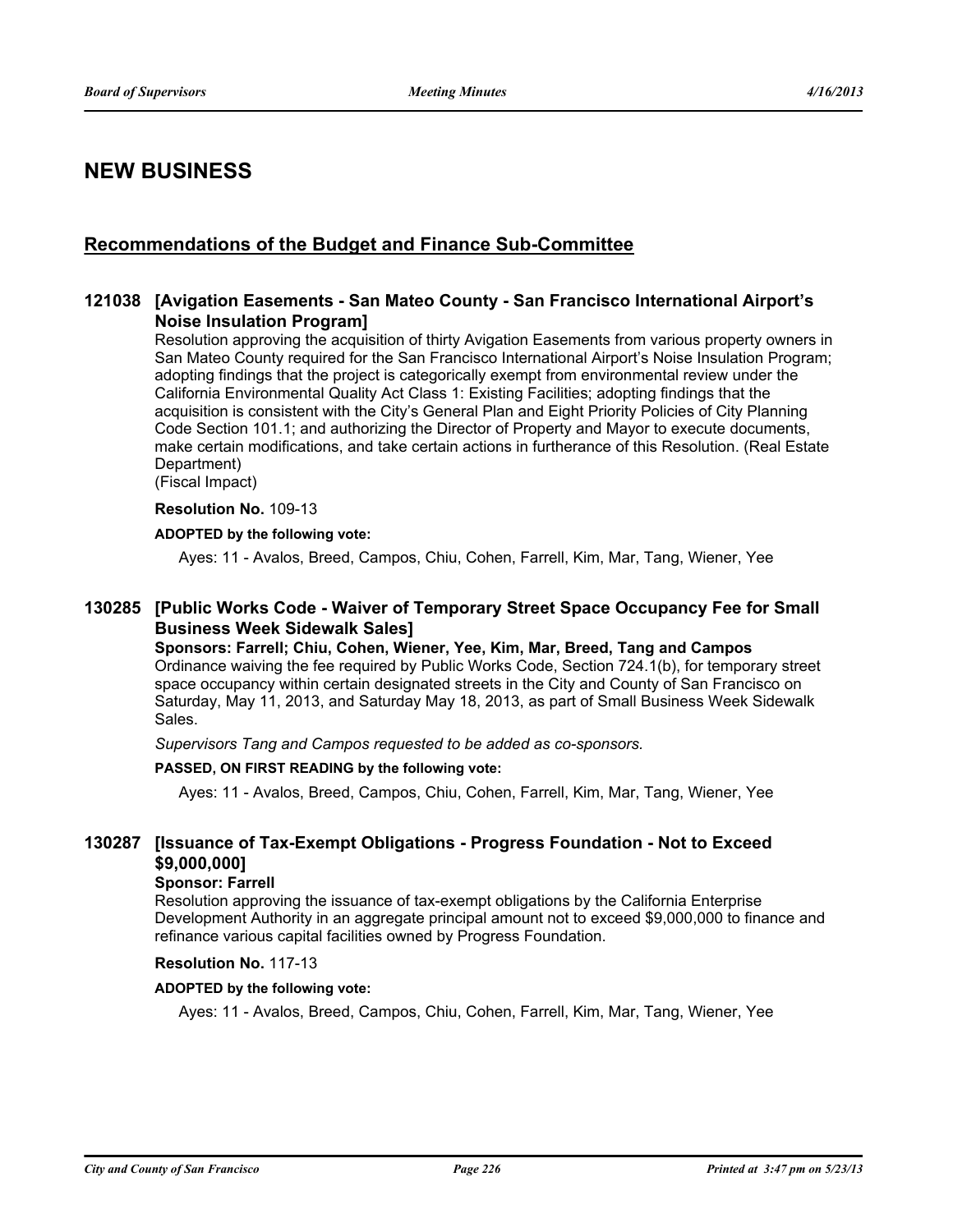## **NEW BUSINESS**

### **Recommendations of the Budget and Finance Sub-Committee**

### **121038 [Avigation Easements - San Mateo County - San Francisco International Airport's Noise Insulation Program]**

Resolution approving the acquisition of thirty Avigation Easements from various property owners in San Mateo County required for the San Francisco International Airport's Noise Insulation Program; adopting findings that the project is categorically exempt from environmental review under the California Environmental Quality Act Class 1: Existing Facilities; adopting findings that the acquisition is consistent with the City's General Plan and Eight Priority Policies of City Planning Code Section 101.1; and authorizing the Director of Property and Mayor to execute documents, make certain modifications, and take certain actions in furtherance of this Resolution. (Real Estate Department)

(Fiscal Impact)

#### **Resolution No.** 109-13

#### **ADOPTED by the following vote:**

Ayes: 11 - Avalos, Breed, Campos, Chiu, Cohen, Farrell, Kim, Mar, Tang, Wiener, Yee

### **130285 [Public Works Code - Waiver of Temporary Street Space Occupancy Fee for Small Business Week Sidewalk Sales]**

**Sponsors: Farrell; Chiu, Cohen, Wiener, Yee, Kim, Mar, Breed, Tang and Campos** Ordinance waiving the fee required by Public Works Code, Section 724.1(b), for temporary street space occupancy within certain designated streets in the City and County of San Francisco on Saturday, May 11, 2013, and Saturday May 18, 2013, as part of Small Business Week Sidewalk Sales.

*Supervisors Tang and Campos requested to be added as co-sponsors.*

#### **PASSED, ON FIRST READING by the following vote:**

Ayes: 11 - Avalos, Breed, Campos, Chiu, Cohen, Farrell, Kim, Mar, Tang, Wiener, Yee

### **130287 [Issuance of Tax-Exempt Obligations - Progress Foundation - Not to Exceed \$9,000,000]**

#### **Sponsor: Farrell**

Resolution approving the issuance of tax-exempt obligations by the California Enterprise Development Authority in an aggregate principal amount not to exceed \$9,000,000 to finance and refinance various capital facilities owned by Progress Foundation.

#### **Resolution No.** 117-13

#### **ADOPTED by the following vote:**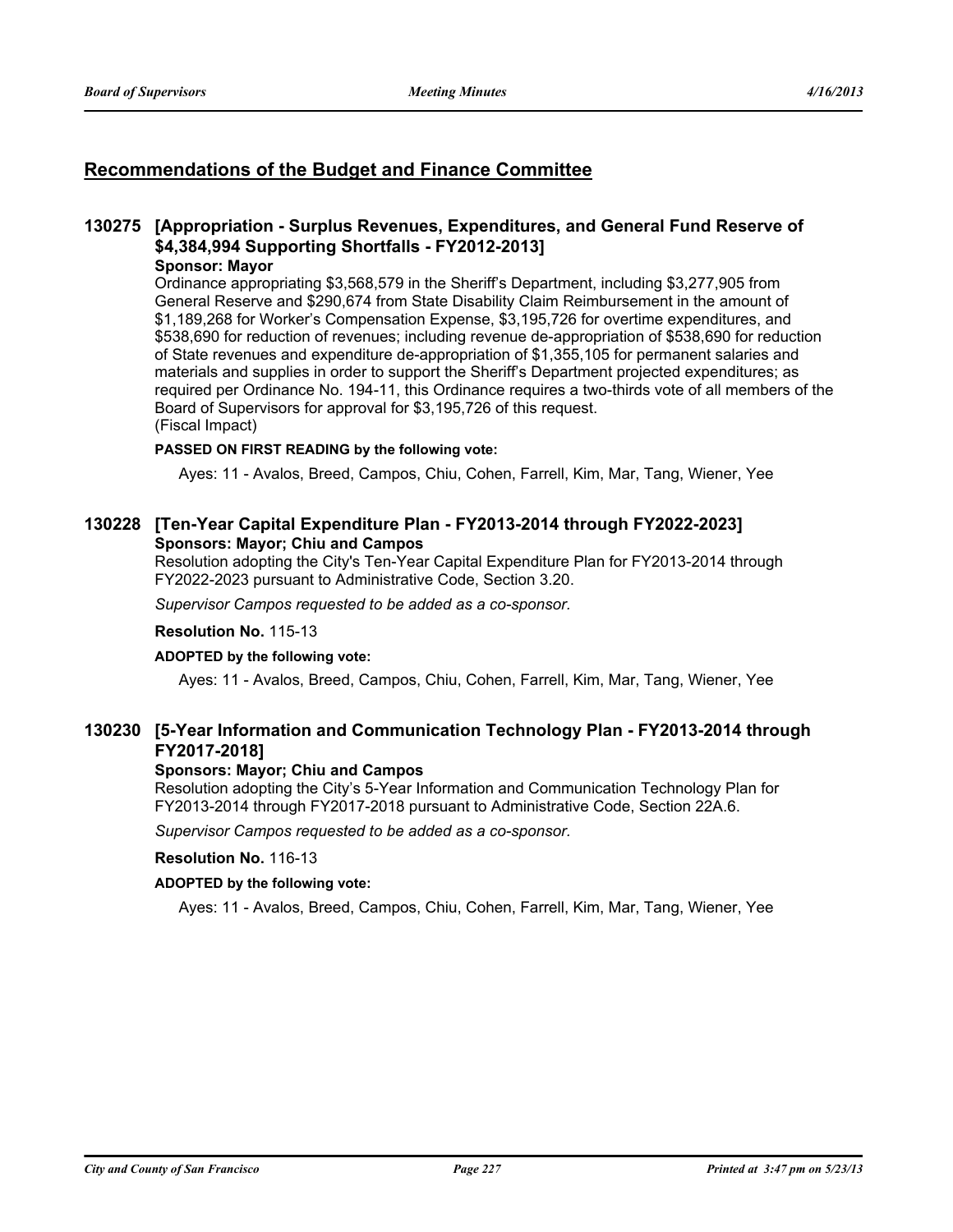### **Recommendations of the Budget and Finance Committee**

## **130275 [Appropriation - Surplus Revenues, Expenditures, and General Fund Reserve of \$4,384,994 Supporting Shortfalls - FY2012-2013]**

### **Sponsor: Mayor**

Ordinance appropriating \$3,568,579 in the Sheriff's Department, including \$3,277,905 from General Reserve and \$290,674 from State Disability Claim Reimbursement in the amount of \$1,189,268 for Worker's Compensation Expense, \$3,195,726 for overtime expenditures, and \$538,690 for reduction of revenues; including revenue de-appropriation of \$538,690 for reduction of State revenues and expenditure de-appropriation of \$1,355,105 for permanent salaries and materials and supplies in order to support the Sheriff's Department projected expenditures; as required per Ordinance No. 194-11, this Ordinance requires a two-thirds vote of all members of the Board of Supervisors for approval for \$3,195,726 of this request. (Fiscal Impact)

#### **PASSED ON FIRST READING by the following vote:**

Ayes: 11 - Avalos, Breed, Campos, Chiu, Cohen, Farrell, Kim, Mar, Tang, Wiener, Yee

### **130228 [Ten-Year Capital Expenditure Plan - FY2013-2014 through FY2022-2023] Sponsors: Mayor; Chiu and Campos**

Resolution adopting the City's Ten-Year Capital Expenditure Plan for FY2013-2014 through FY2022-2023 pursuant to Administrative Code, Section 3.20.

*Supervisor Campos requested to be added as a co-sponsor.*

#### **Resolution No.** 115-13

#### **ADOPTED by the following vote:**

Ayes: 11 - Avalos, Breed, Campos, Chiu, Cohen, Farrell, Kim, Mar, Tang, Wiener, Yee

### **130230 [5-Year Information and Communication Technology Plan - FY2013-2014 through FY2017-2018]**

#### **Sponsors: Mayor; Chiu and Campos**

Resolution adopting the City's 5-Year Information and Communication Technology Plan for FY2013-2014 through FY2017-2018 pursuant to Administrative Code, Section 22A.6.

*Supervisor Campos requested to be added as a co-sponsor.*

#### **Resolution No.** 116-13

#### **ADOPTED by the following vote:**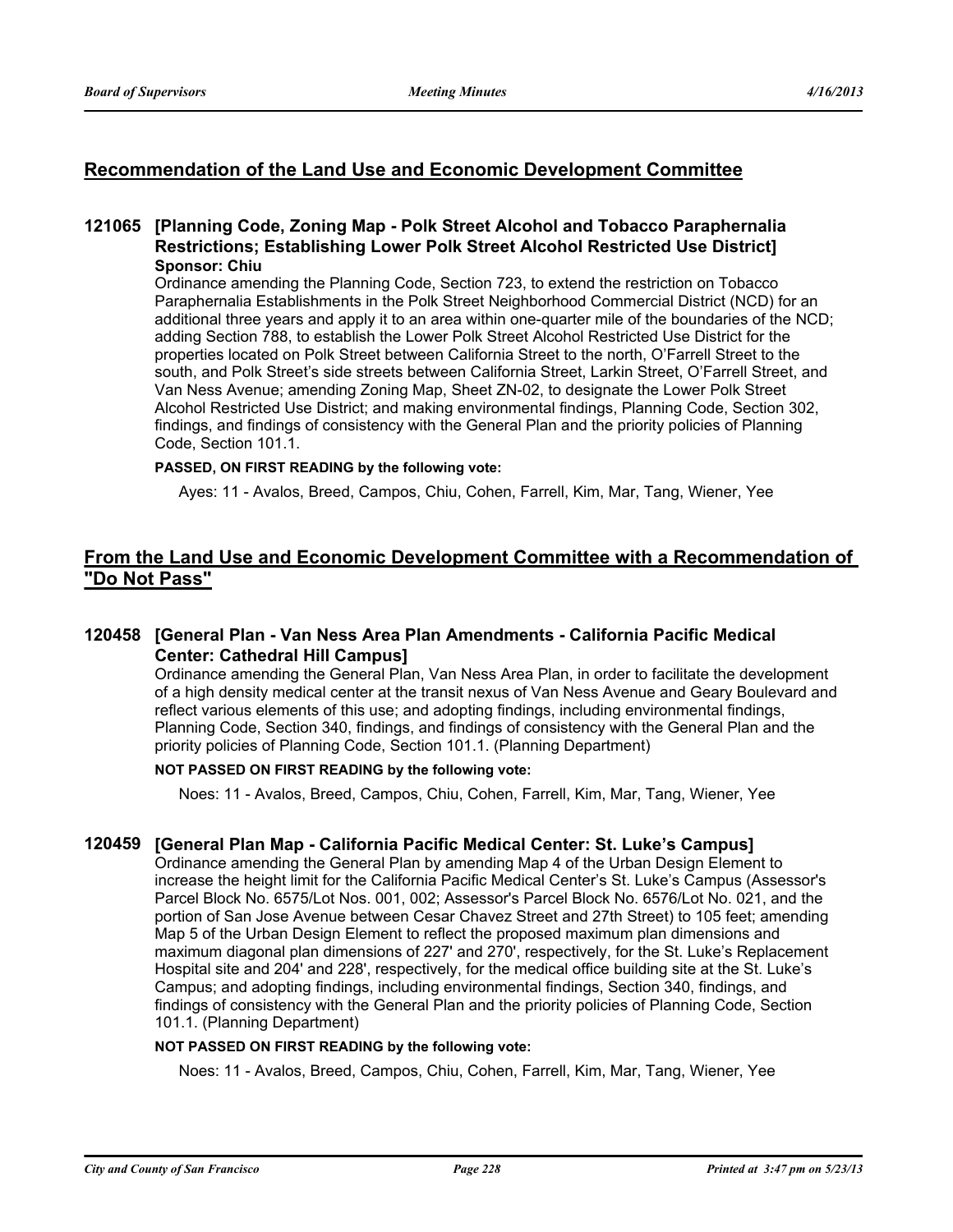### **Recommendation of the Land Use and Economic Development Committee**

### **121065 [Planning Code, Zoning Map - Polk Street Alcohol and Tobacco Paraphernalia Restrictions; Establishing Lower Polk Street Alcohol Restricted Use District] Sponsor: Chiu**

Ordinance amending the Planning Code, Section 723, to extend the restriction on Tobacco Paraphernalia Establishments in the Polk Street Neighborhood Commercial District (NCD) for an additional three years and apply it to an area within one-quarter mile of the boundaries of the NCD; adding Section 788, to establish the Lower Polk Street Alcohol Restricted Use District for the properties located on Polk Street between California Street to the north, O'Farrell Street to the south, and Polk Street's side streets between California Street, Larkin Street, O'Farrell Street, and Van Ness Avenue; amending Zoning Map, Sheet ZN-02, to designate the Lower Polk Street Alcohol Restricted Use District; and making environmental findings, Planning Code, Section 302, findings, and findings of consistency with the General Plan and the priority policies of Planning Code, Section 101.1.

#### **PASSED, ON FIRST READING by the following vote:**

Ayes: 11 - Avalos, Breed, Campos, Chiu, Cohen, Farrell, Kim, Mar, Tang, Wiener, Yee

### **From the Land Use and Economic Development Committee with a Recommendation of "Do Not Pass"**

### **120458 [General Plan - Van Ness Area Plan Amendments - California Pacific Medical Center: Cathedral Hill Campus]**

Ordinance amending the General Plan, Van Ness Area Plan, in order to facilitate the development of a high density medical center at the transit nexus of Van Ness Avenue and Geary Boulevard and reflect various elements of this use; and adopting findings, including environmental findings, Planning Code, Section 340, findings, and findings of consistency with the General Plan and the priority policies of Planning Code, Section 101.1. (Planning Department)

#### **NOT PASSED ON FIRST READING by the following vote:**

Noes: 11 - Avalos, Breed, Campos, Chiu, Cohen, Farrell, Kim, Mar, Tang, Wiener, Yee

#### **120459 [General Plan Map - California Pacific Medical Center: St. Luke's Campus]**

Ordinance amending the General Plan by amending Map 4 of the Urban Design Element to increase the height limit for the California Pacific Medical Center's St. Luke's Campus (Assessor's Parcel Block No. 6575/Lot Nos. 001, 002; Assessor's Parcel Block No. 6576/Lot No. 021, and the portion of San Jose Avenue between Cesar Chavez Street and 27th Street) to 105 feet; amending Map 5 of the Urban Design Element to reflect the proposed maximum plan dimensions and maximum diagonal plan dimensions of 227' and 270', respectively, for the St. Luke's Replacement Hospital site and 204' and 228', respectively, for the medical office building site at the St. Luke's Campus; and adopting findings, including environmental findings, Section 340, findings, and findings of consistency with the General Plan and the priority policies of Planning Code, Section 101.1. (Planning Department)

### **NOT PASSED ON FIRST READING by the following vote:**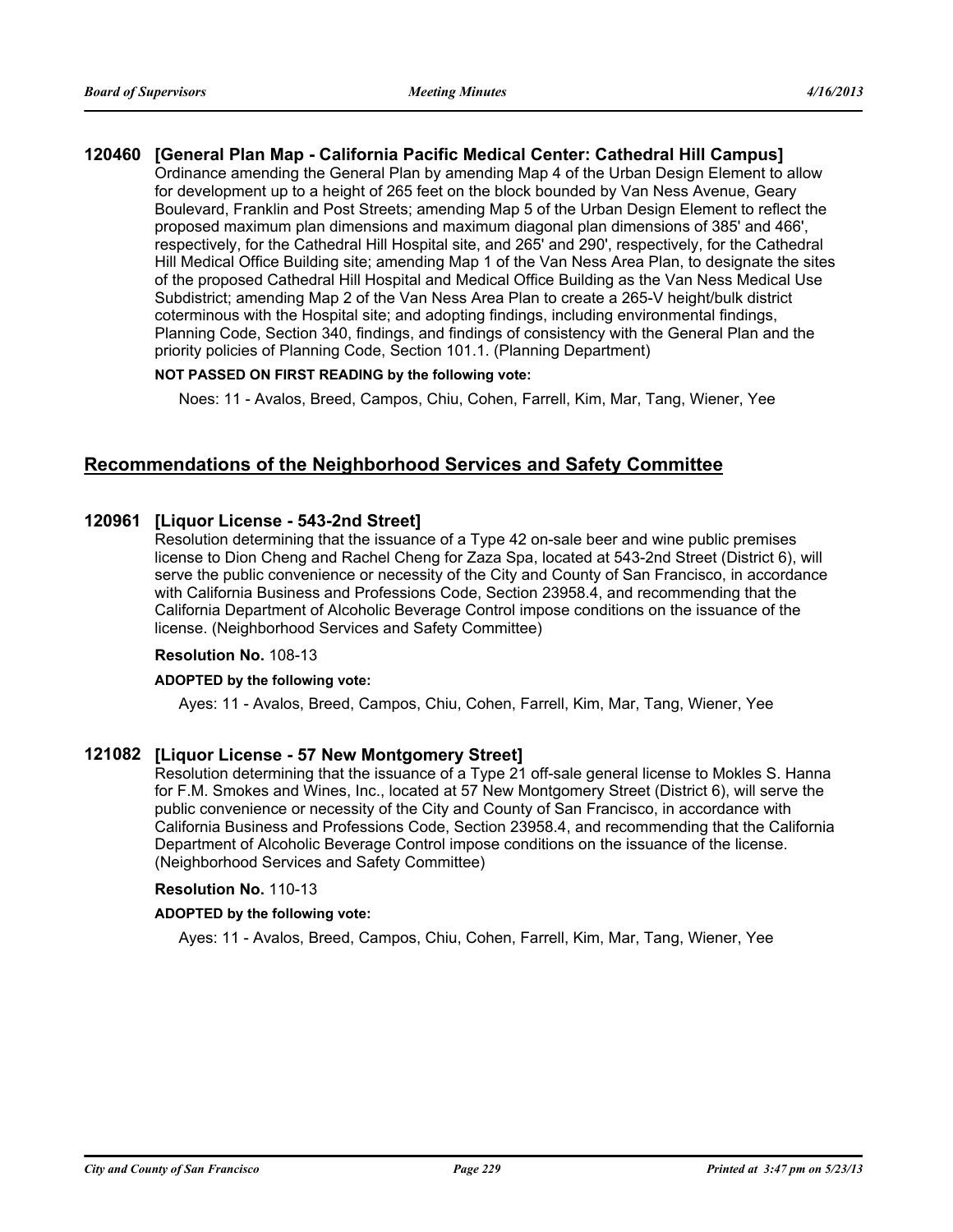### **120460 [General Plan Map - California Pacific Medical Center: Cathedral Hill Campus]**

Ordinance amending the General Plan by amending Map 4 of the Urban Design Element to allow for development up to a height of 265 feet on the block bounded by Van Ness Avenue, Geary Boulevard, Franklin and Post Streets; amending Map 5 of the Urban Design Element to reflect the proposed maximum plan dimensions and maximum diagonal plan dimensions of 385' and 466', respectively, for the Cathedral Hill Hospital site, and 265' and 290', respectively, for the Cathedral Hill Medical Office Building site; amending Map 1 of the Van Ness Area Plan, to designate the sites of the proposed Cathedral Hill Hospital and Medical Office Building as the Van Ness Medical Use Subdistrict; amending Map 2 of the Van Ness Area Plan to create a 265-V height/bulk district coterminous with the Hospital site; and adopting findings, including environmental findings, Planning Code, Section 340, findings, and findings of consistency with the General Plan and the priority policies of Planning Code, Section 101.1. (Planning Department)

#### **NOT PASSED ON FIRST READING by the following vote:**

Noes: 11 - Avalos, Breed, Campos, Chiu, Cohen, Farrell, Kim, Mar, Tang, Wiener, Yee

### **Recommendations of the Neighborhood Services and Safety Committee**

### **120961 [Liquor License - 543-2nd Street]**

Resolution determining that the issuance of a Type 42 on-sale beer and wine public premises license to Dion Cheng and Rachel Cheng for Zaza Spa, located at 543-2nd Street (District 6), will serve the public convenience or necessity of the City and County of San Francisco, in accordance with California Business and Professions Code, Section 23958.4, and recommending that the California Department of Alcoholic Beverage Control impose conditions on the issuance of the license. (Neighborhood Services and Safety Committee)

#### **Resolution No.** 108-13

#### **ADOPTED by the following vote:**

Ayes: 11 - Avalos, Breed, Campos, Chiu, Cohen, Farrell, Kim, Mar, Tang, Wiener, Yee

#### **121082 [Liquor License - 57 New Montgomery Street]**

Resolution determining that the issuance of a Type 21 off-sale general license to Mokles S. Hanna for F.M. Smokes and Wines, Inc., located at 57 New Montgomery Street (District 6), will serve the public convenience or necessity of the City and County of San Francisco, in accordance with California Business and Professions Code, Section 23958.4, and recommending that the California Department of Alcoholic Beverage Control impose conditions on the issuance of the license. (Neighborhood Services and Safety Committee)

#### **Resolution No.** 110-13

#### **ADOPTED by the following vote:**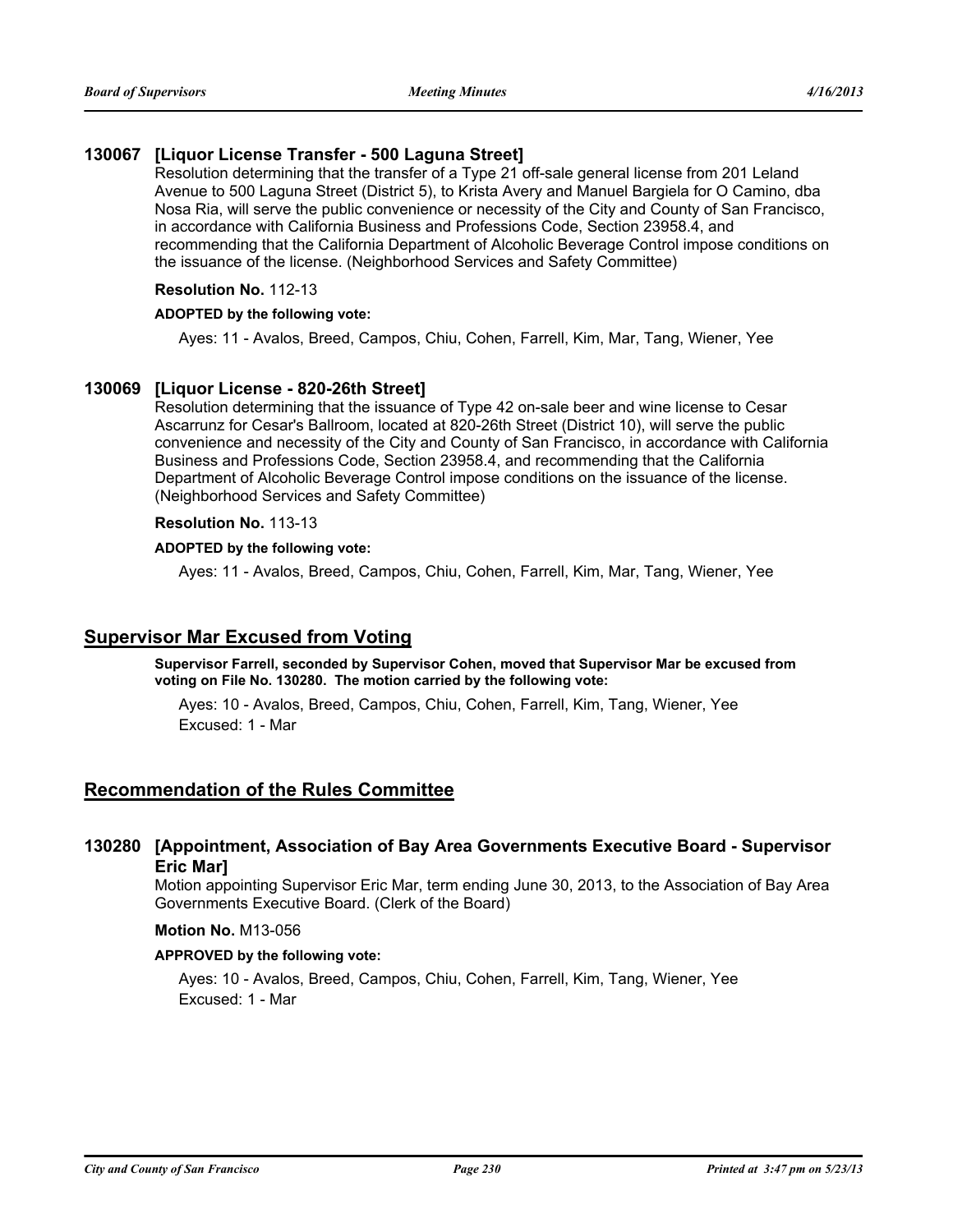#### **130067 [Liquor License Transfer - 500 Laguna Street]**

Resolution determining that the transfer of a Type 21 off-sale general license from 201 Leland Avenue to 500 Laguna Street (District 5), to Krista Avery and Manuel Bargiela for O Camino, dba Nosa Ria, will serve the public convenience or necessity of the City and County of San Francisco, in accordance with California Business and Professions Code, Section 23958.4, and recommending that the California Department of Alcoholic Beverage Control impose conditions on the issuance of the license. (Neighborhood Services and Safety Committee)

#### **Resolution No.** 112-13

#### **ADOPTED by the following vote:**

Ayes: 11 - Avalos, Breed, Campos, Chiu, Cohen, Farrell, Kim, Mar, Tang, Wiener, Yee

### **130069 [Liquor License - 820-26th Street]**

Resolution determining that the issuance of Type 42 on-sale beer and wine license to Cesar Ascarrunz for Cesar's Ballroom, located at 820-26th Street (District 10), will serve the public convenience and necessity of the City and County of San Francisco, in accordance with California Business and Professions Code, Section 23958.4, and recommending that the California Department of Alcoholic Beverage Control impose conditions on the issuance of the license. (Neighborhood Services and Safety Committee)

#### **Resolution No.** 113-13

#### **ADOPTED by the following vote:**

Ayes: 11 - Avalos, Breed, Campos, Chiu, Cohen, Farrell, Kim, Mar, Tang, Wiener, Yee

### **Supervisor Mar Excused from Voting**

**Supervisor Farrell, seconded by Supervisor Cohen, moved that Supervisor Mar be excused from voting on File No. 130280. The motion carried by the following vote:**

Ayes: 10 - Avalos, Breed, Campos, Chiu, Cohen, Farrell, Kim, Tang, Wiener, Yee Excused: 1 - Mar

### **Recommendation of the Rules Committee**

### **130280 [Appointment, Association of Bay Area Governments Executive Board - Supervisor Eric Mar]**

Motion appointing Supervisor Eric Mar, term ending June 30, 2013, to the Association of Bay Area Governments Executive Board. (Clerk of the Board)

**Motion No.** M13-056

#### **APPROVED by the following vote:**

Ayes: 10 - Avalos, Breed, Campos, Chiu, Cohen, Farrell, Kim, Tang, Wiener, Yee Excused: 1 - Mar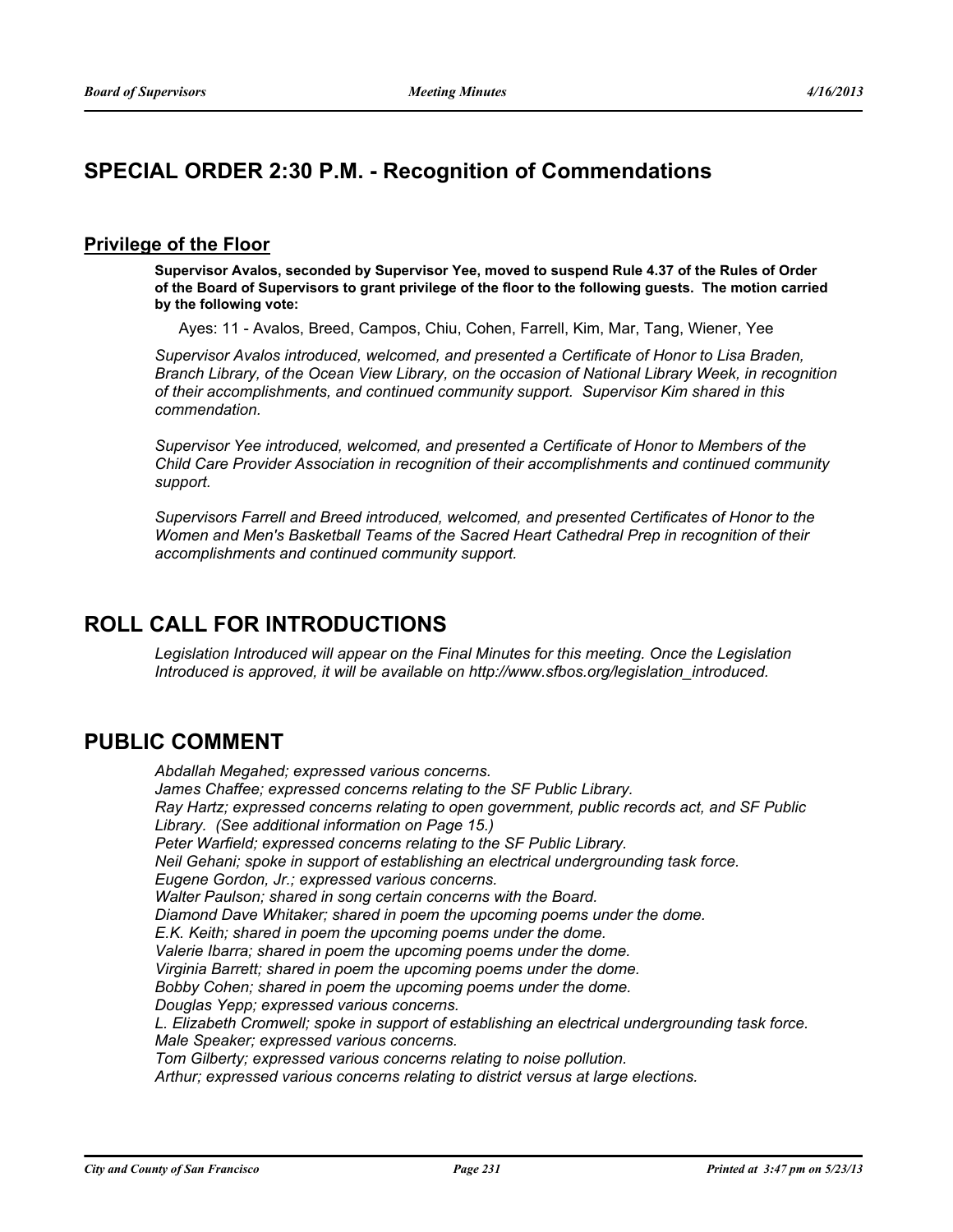## **SPECIAL ORDER 2:30 P.M. - Recognition of Commendations**

### **Privilege of the Floor**

**Supervisor Avalos, seconded by Supervisor Yee, moved to suspend Rule 4.37 of the Rules of Order of the Board of Supervisors to grant privilege of the floor to the following guests. The motion carried by the following vote:**

Ayes: 11 - Avalos, Breed, Campos, Chiu, Cohen, Farrell, Kim, Mar, Tang, Wiener, Yee

*Supervisor Avalos introduced, welcomed, and presented a Certificate of Honor to Lisa Braden, Branch Library, of the Ocean View Library, on the occasion of National Library Week, in recognition of their accomplishments, and continued community support. Supervisor Kim shared in this commendation.*

*Supervisor Yee introduced, welcomed, and presented a Certificate of Honor to Members of the Child Care Provider Association in recognition of their accomplishments and continued community support.*

*Supervisors Farrell and Breed introduced, welcomed, and presented Certificates of Honor to the Women and Men's Basketball Teams of the Sacred Heart Cathedral Prep in recognition of their accomplishments and continued community support.*

## **ROLL CALL FOR INTRODUCTIONS**

*Legislation Introduced will appear on the Final Minutes for this meeting. Once the Legislation Introduced is approved, it will be available on http://www.sfbos.org/legislation\_introduced.*

## **PUBLIC COMMENT**

*Abdallah Megahed; expressed various concerns. James Chaffee; expressed concerns relating to the SF Public Library. Ray Hartz; expressed concerns relating to open government, public records act, and SF Public Library. (See additional information on Page 15.) Peter Warfield; expressed concerns relating to the SF Public Library. Neil Gehani; spoke in support of establishing an electrical undergrounding task force. Eugene Gordon, Jr.; expressed various concerns. Walter Paulson; shared in song certain concerns with the Board. Diamond Dave Whitaker; shared in poem the upcoming poems under the dome. E.K. Keith; shared in poem the upcoming poems under the dome. Valerie Ibarra; shared in poem the upcoming poems under the dome. Virginia Barrett; shared in poem the upcoming poems under the dome. Bobby Cohen; shared in poem the upcoming poems under the dome. Douglas Yepp; expressed various concerns. L. Elizabeth Cromwell; spoke in support of establishing an electrical undergrounding task force. Male Speaker; expressed various concerns. Tom Gilberty; expressed various concerns relating to noise pollution. Arthur; expressed various concerns relating to district versus at large elections.*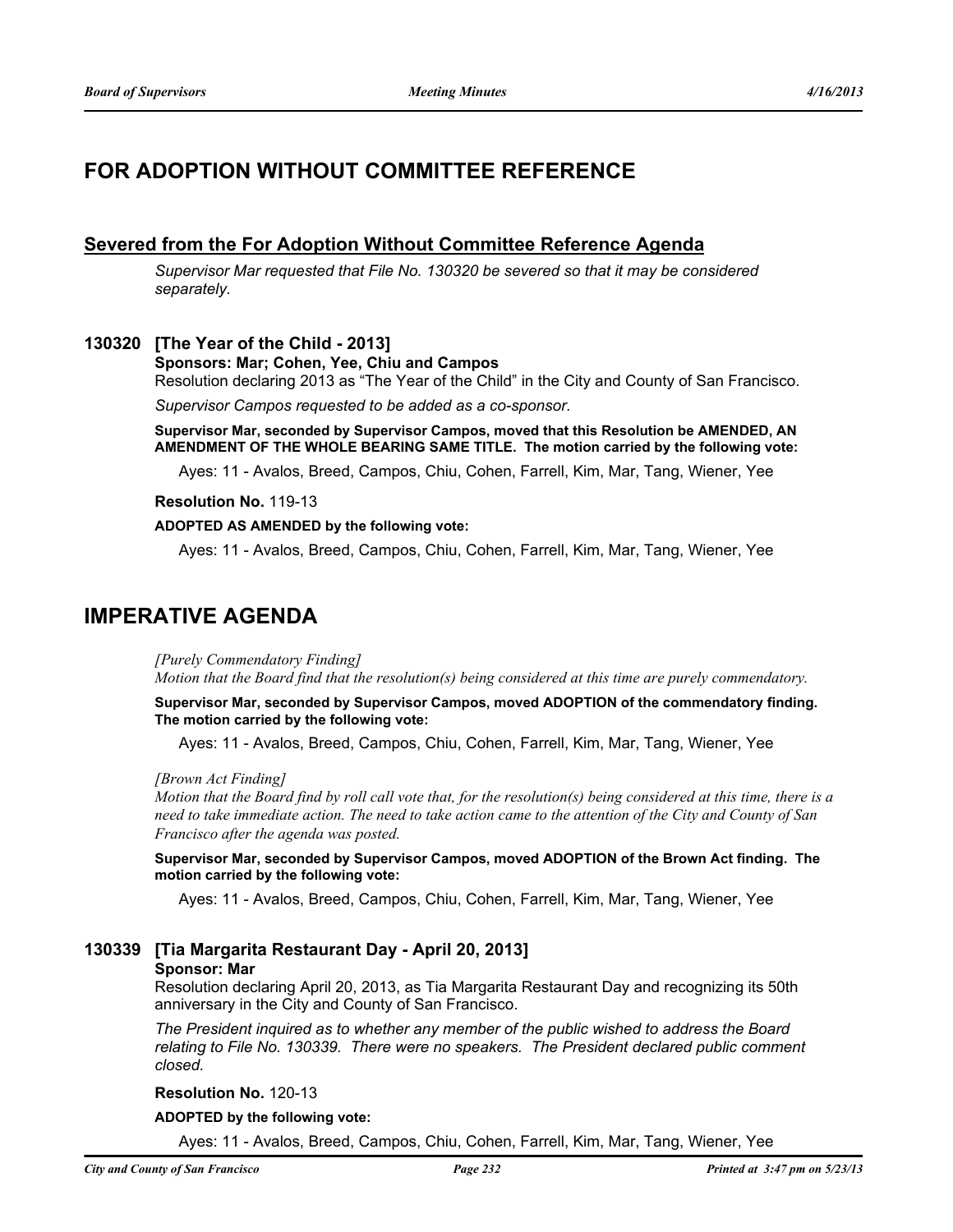## **FOR ADOPTION WITHOUT COMMITTEE REFERENCE**

### **Severed from the For Adoption Without Committee Reference Agenda**

*Supervisor Mar requested that File No. 130320 be severed so that it may be considered separately.*

### **130320 [The Year of the Child - 2013]**

**Sponsors: Mar; Cohen, Yee, Chiu and Campos**

Resolution declaring 2013 as "The Year of the Child" in the City and County of San Francisco.

*Supervisor Campos requested to be added as a co-sponsor.*

**Supervisor Mar, seconded by Supervisor Campos, moved that this Resolution be AMENDED, AN AMENDMENT OF THE WHOLE BEARING SAME TITLE. The motion carried by the following vote:**

Ayes: 11 - Avalos, Breed, Campos, Chiu, Cohen, Farrell, Kim, Mar, Tang, Wiener, Yee

**Resolution No.** 119-13

#### **ADOPTED AS AMENDED by the following vote:**

Ayes: 11 - Avalos, Breed, Campos, Chiu, Cohen, Farrell, Kim, Mar, Tang, Wiener, Yee

## **IMPERATIVE AGENDA**

*[Purely Commendatory Finding]*

*Motion that the Board find that the resolution(s) being considered at this time are purely commendatory.*

**Supervisor Mar, seconded by Supervisor Campos, moved ADOPTION of the commendatory finding. The motion carried by the following vote:**

Ayes: 11 - Avalos, Breed, Campos, Chiu, Cohen, Farrell, Kim, Mar, Tang, Wiener, Yee

*[Brown Act Finding]*

*Motion that the Board find by roll call vote that, for the resolution(s) being considered at this time, there is a need to take immediate action. The need to take action came to the attention of the City and County of San Francisco after the agenda was posted.*

**Supervisor Mar, seconded by Supervisor Campos, moved ADOPTION of the Brown Act finding. The motion carried by the following vote:**

Ayes: 11 - Avalos, Breed, Campos, Chiu, Cohen, Farrell, Kim, Mar, Tang, Wiener, Yee

**130339 [Tia Margarita Restaurant Day - April 20, 2013] Sponsor: Mar**

> Resolution declaring April 20, 2013, as Tia Margarita Restaurant Day and recognizing its 50th anniversary in the City and County of San Francisco.

*The President inquired as to whether any member of the public wished to address the Board relating to File No. 130339. There were no speakers. The President declared public comment closed.*

**Resolution No.** 120-13

**ADOPTED by the following vote:**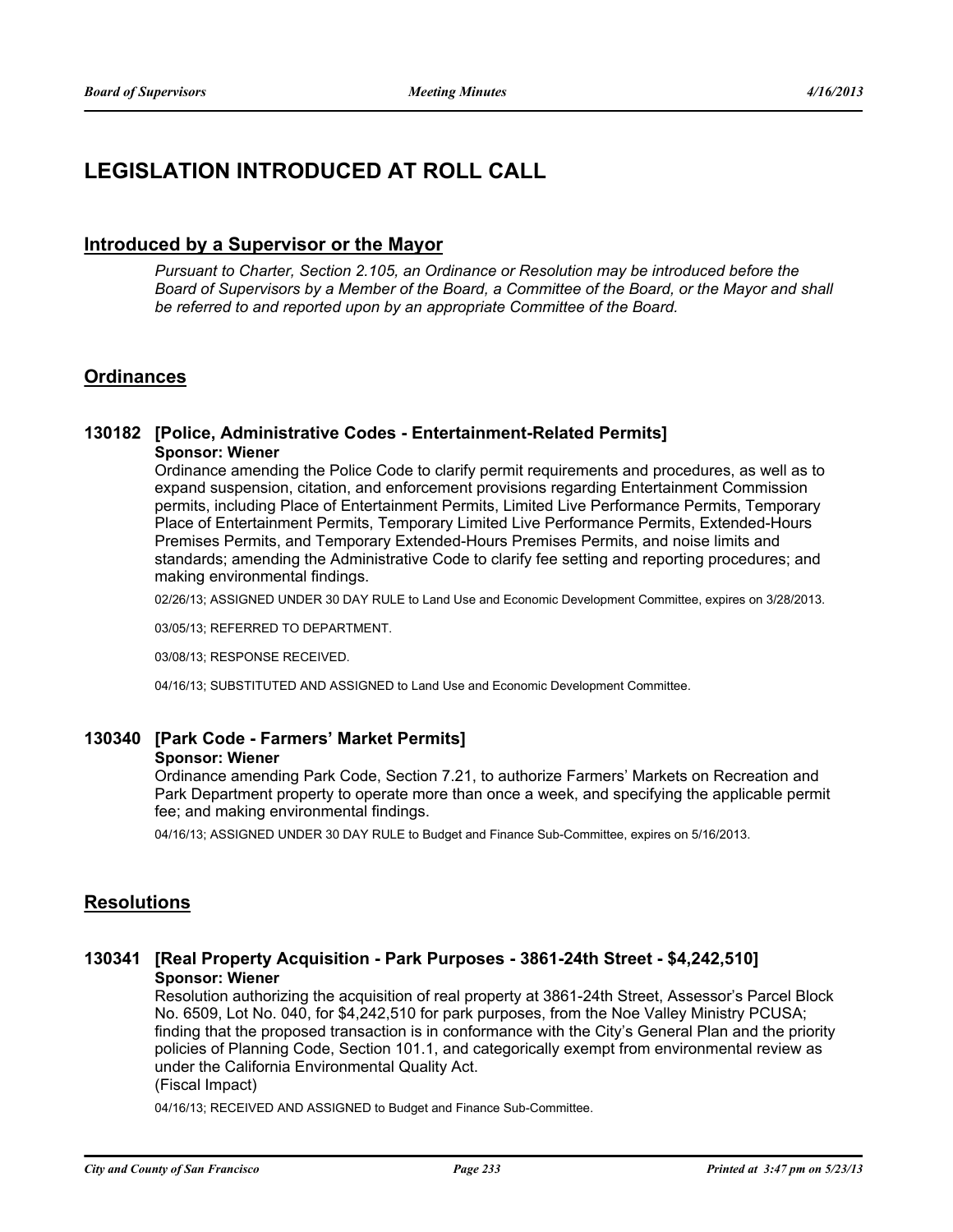## **LEGISLATION INTRODUCED AT ROLL CALL**

### **Introduced by a Supervisor or the Mayor**

*Pursuant to Charter, Section 2.105, an Ordinance or Resolution may be introduced before the Board of Supervisors by a Member of the Board, a Committee of the Board, or the Mayor and shall be referred to and reported upon by an appropriate Committee of the Board.*

### **Ordinances**

#### **130182 [Police, Administrative Codes - Entertainment-Related Permits] Sponsor: Wiener**

Ordinance amending the Police Code to clarify permit requirements and procedures, as well as to expand suspension, citation, and enforcement provisions regarding Entertainment Commission permits, including Place of Entertainment Permits, Limited Live Performance Permits, Temporary Place of Entertainment Permits, Temporary Limited Live Performance Permits, Extended-Hours Premises Permits, and Temporary Extended-Hours Premises Permits, and noise limits and standards; amending the Administrative Code to clarify fee setting and reporting procedures; and making environmental findings.

02/26/13; ASSIGNED UNDER 30 DAY RULE to Land Use and Economic Development Committee, expires on 3/28/2013.

03/05/13; REFERRED TO DEPARTMENT.

03/08/13; RESPONSE RECEIVED.

04/16/13; SUBSTITUTED AND ASSIGNED to Land Use and Economic Development Committee.

### **130340 [Park Code - Farmers' Market Permits]**

#### **Sponsor: Wiener**

Ordinance amending Park Code, Section 7.21, to authorize Farmers' Markets on Recreation and Park Department property to operate more than once a week, and specifying the applicable permit fee; and making environmental findings.

04/16/13; ASSIGNED UNDER 30 DAY RULE to Budget and Finance Sub-Committee, expires on 5/16/2013.

### **Resolutions**

### **130341 [Real Property Acquisition - Park Purposes - 3861-24th Street - \$4,242,510] Sponsor: Wiener**

Resolution authorizing the acquisition of real property at 3861-24th Street, Assessor's Parcel Block No. 6509, Lot No. 040, for \$4,242,510 for park purposes, from the Noe Valley Ministry PCUSA; finding that the proposed transaction is in conformance with the City's General Plan and the priority policies of Planning Code, Section 101.1, and categorically exempt from environmental review as under the California Environmental Quality Act. (Fiscal Impact)

04/16/13; RECEIVED AND ASSIGNED to Budget and Finance Sub-Committee.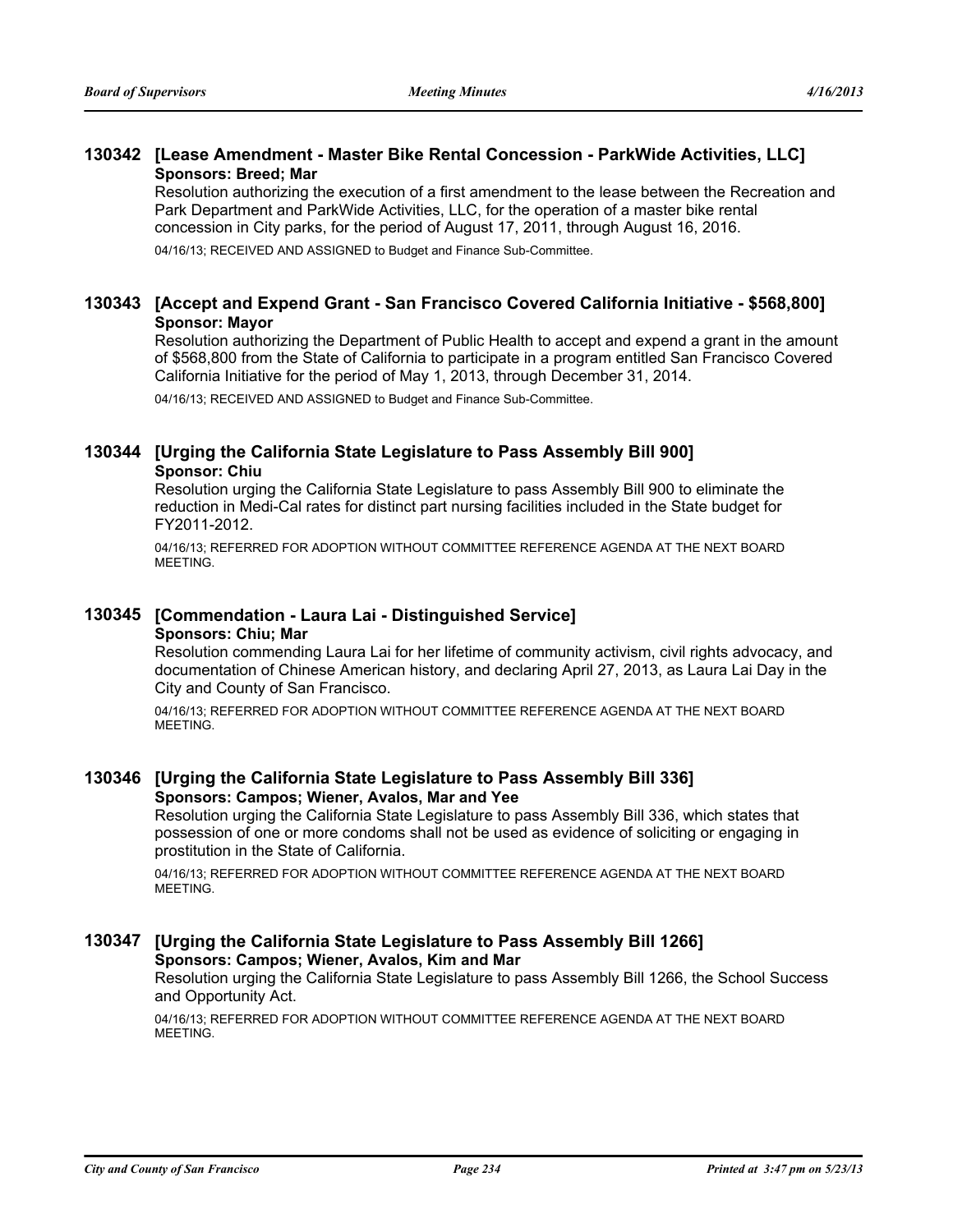### **130342 [Lease Amendment - Master Bike Rental Concession - ParkWide Activities, LLC] Sponsors: Breed; Mar**

Resolution authorizing the execution of a first amendment to the lease between the Recreation and Park Department and ParkWide Activities, LLC, for the operation of a master bike rental concession in City parks, for the period of August 17, 2011, through August 16, 2016.

04/16/13; RECEIVED AND ASSIGNED to Budget and Finance Sub-Committee.

### **130343 [Accept and Expend Grant - San Francisco Covered California Initiative - \$568,800] Sponsor: Mayor**

Resolution authorizing the Department of Public Health to accept and expend a grant in the amount of \$568,800 from the State of California to participate in a program entitled San Francisco Covered California Initiative for the period of May 1, 2013, through December 31, 2014.

04/16/13; RECEIVED AND ASSIGNED to Budget and Finance Sub-Committee.

## **130344 [Urging the California State Legislature to Pass Assembly Bill 900]**

#### **Sponsor: Chiu**

Resolution urging the California State Legislature to pass Assembly Bill 900 to eliminate the reduction in Medi-Cal rates for distinct part nursing facilities included in the State budget for FY2011-2012.

04/16/13; REFERRED FOR ADOPTION WITHOUT COMMITTEE REFERENCE AGENDA AT THE NEXT BOARD MEETING.

### **130345 [Commendation - Laura Lai - Distinguished Service] Sponsors: Chiu; Mar**

Resolution commending Laura Lai for her lifetime of community activism, civil rights advocacy, and documentation of Chinese American history, and declaring April 27, 2013, as Laura Lai Day in the City and County of San Francisco.

04/16/13; REFERRED FOR ADOPTION WITHOUT COMMITTEE REFERENCE AGENDA AT THE NEXT BOARD MEETING.

### **130346 [Urging the California State Legislature to Pass Assembly Bill 336] Sponsors: Campos; Wiener, Avalos, Mar and Yee**

Resolution urging the California State Legislature to pass Assembly Bill 336, which states that possession of one or more condoms shall not be used as evidence of soliciting or engaging in prostitution in the State of California.

04/16/13; REFERRED FOR ADOPTION WITHOUT COMMITTEE REFERENCE AGENDA AT THE NEXT BOARD MEETING.

### **130347 [Urging the California State Legislature to Pass Assembly Bill 1266] Sponsors: Campos; Wiener, Avalos, Kim and Mar**

Resolution urging the California State Legislature to pass Assembly Bill 1266, the School Success and Opportunity Act.

04/16/13; REFERRED FOR ADOPTION WITHOUT COMMITTEE REFERENCE AGENDA AT THE NEXT BOARD MEETING.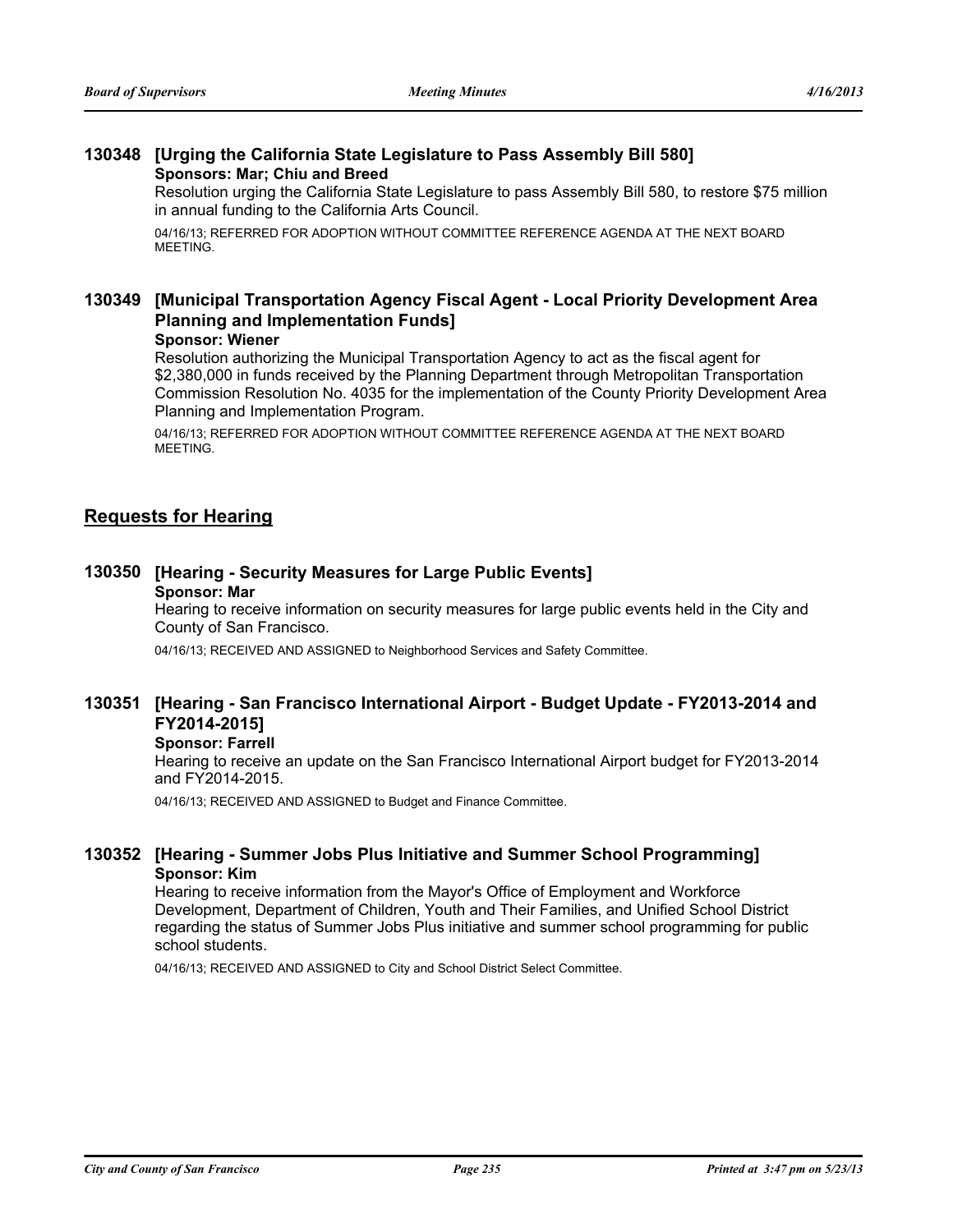### **130348 [Urging the California State Legislature to Pass Assembly Bill 580] Sponsors: Mar; Chiu and Breed**

Resolution urging the California State Legislature to pass Assembly Bill 580, to restore \$75 million in annual funding to the California Arts Council.

04/16/13; REFERRED FOR ADOPTION WITHOUT COMMITTEE REFERENCE AGENDA AT THE NEXT BOARD MEETING.

## **130349 [Municipal Transportation Agency Fiscal Agent - Local Priority Development Area Planning and Implementation Funds]**

#### **Sponsor: Wiener**

Resolution authorizing the Municipal Transportation Agency to act as the fiscal agent for \$2,380,000 in funds received by the Planning Department through Metropolitan Transportation Commission Resolution No. 4035 for the implementation of the County Priority Development Area Planning and Implementation Program.

04/16/13; REFERRED FOR ADOPTION WITHOUT COMMITTEE REFERENCE AGENDA AT THE NEXT BOARD MEETING.

### **Requests for Hearing**

#### **130350 [Hearing - Security Measures for Large Public Events] Sponsor: Mar**

Hearing to receive information on security measures for large public events held in the City and County of San Francisco.

04/16/13; RECEIVED AND ASSIGNED to Neighborhood Services and Safety Committee.

### **130351 [Hearing - San Francisco International Airport - Budget Update - FY2013-2014 and FY2014-2015]**

#### **Sponsor: Farrell**

Hearing to receive an update on the San Francisco International Airport budget for FY2013-2014 and FY2014-2015.

04/16/13; RECEIVED AND ASSIGNED to Budget and Finance Committee.

### **130352 [Hearing - Summer Jobs Plus Initiative and Summer School Programming] Sponsor: Kim**

Hearing to receive information from the Mayor's Office of Employment and Workforce Development, Department of Children, Youth and Their Families, and Unified School District regarding the status of Summer Jobs Plus initiative and summer school programming for public school students.

04/16/13; RECEIVED AND ASSIGNED to City and School District Select Committee.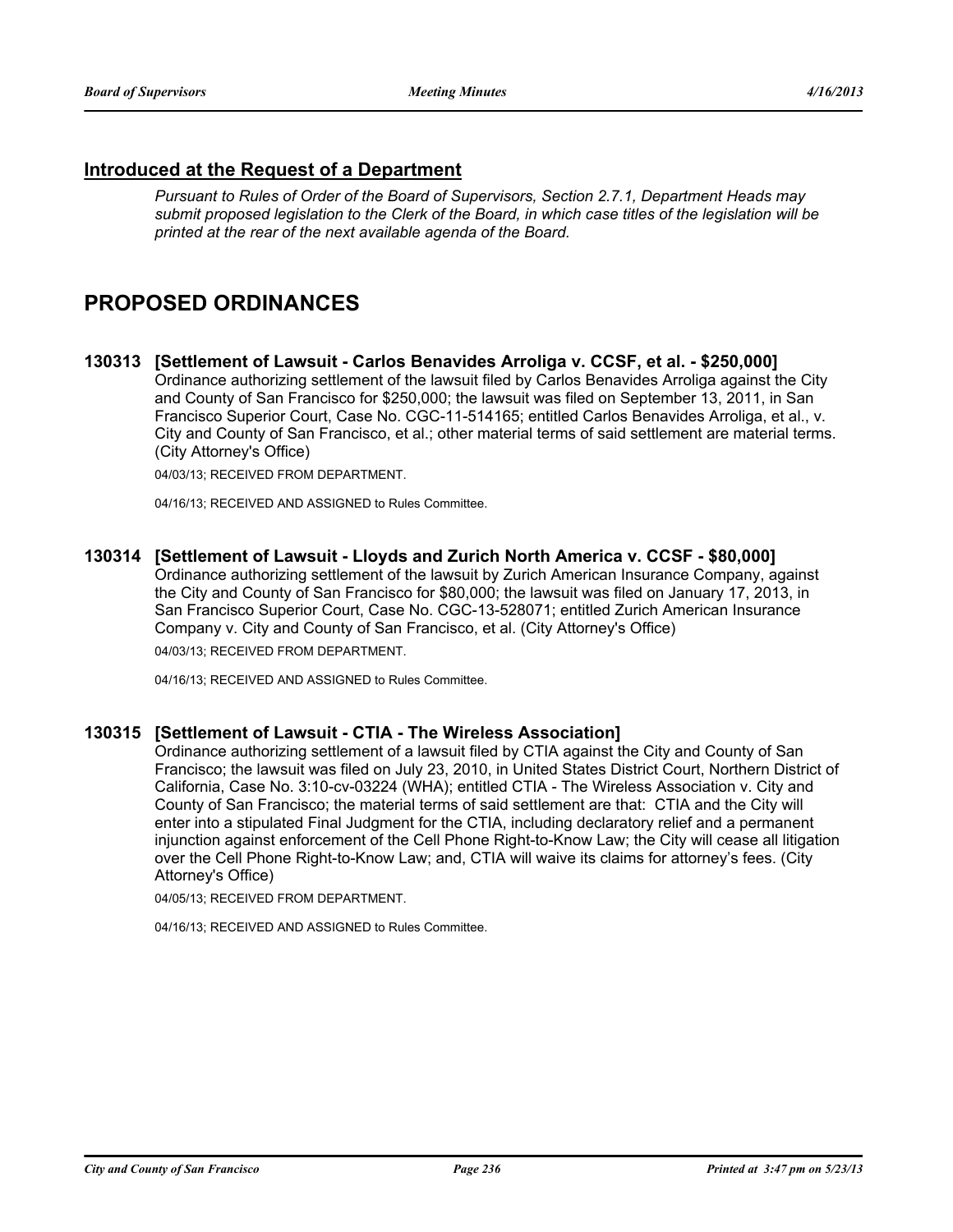### **Introduced at the Request of a Department**

*Pursuant to Rules of Order of the Board of Supervisors, Section 2.7.1, Department Heads may submit proposed legislation to the Clerk of the Board, in which case titles of the legislation will be printed at the rear of the next available agenda of the Board.*

## **PROPOSED ORDINANCES**

**130313 [Settlement of Lawsuit - Carlos Benavides Arroliga v. CCSF, et al. - \$250,000]** Ordinance authorizing settlement of the lawsuit filed by Carlos Benavides Arroliga against the City and County of San Francisco for \$250,000; the lawsuit was filed on September 13, 2011, in San Francisco Superior Court, Case No. CGC-11-514165; entitled Carlos Benavides Arroliga, et al., v. City and County of San Francisco, et al.; other material terms of said settlement are material terms. (City Attorney's Office)

04/03/13; RECEIVED FROM DEPARTMENT.

04/16/13; RECEIVED AND ASSIGNED to Rules Committee.

**130314 [Settlement of Lawsuit - Lloyds and Zurich North America v. CCSF - \$80,000]** Ordinance authorizing settlement of the lawsuit by Zurich American Insurance Company, against the City and County of San Francisco for \$80,000; the lawsuit was filed on January 17, 2013, in San Francisco Superior Court, Case No. CGC-13-528071; entitled Zurich American Insurance Company v. City and County of San Francisco, et al. (City Attorney's Office) 04/03/13; RECEIVED FROM DEPARTMENT.

04/16/13; RECEIVED AND ASSIGNED to Rules Committee.

#### **130315 [Settlement of Lawsuit - CTIA - The Wireless Association]**

Ordinance authorizing settlement of a lawsuit filed by CTIA against the City and County of San Francisco; the lawsuit was filed on July 23, 2010, in United States District Court, Northern District of California, Case No. 3:10-cv-03224 (WHA); entitled CTIA - The Wireless Association v. City and County of San Francisco; the material terms of said settlement are that: CTIA and the City will enter into a stipulated Final Judgment for the CTIA, including declaratory relief and a permanent injunction against enforcement of the Cell Phone Right-to-Know Law; the City will cease all litigation over the Cell Phone Right-to-Know Law; and, CTIA will waive its claims for attorney's fees. (City Attorney's Office)

04/05/13; RECEIVED FROM DEPARTMENT.

04/16/13; RECEIVED AND ASSIGNED to Rules Committee.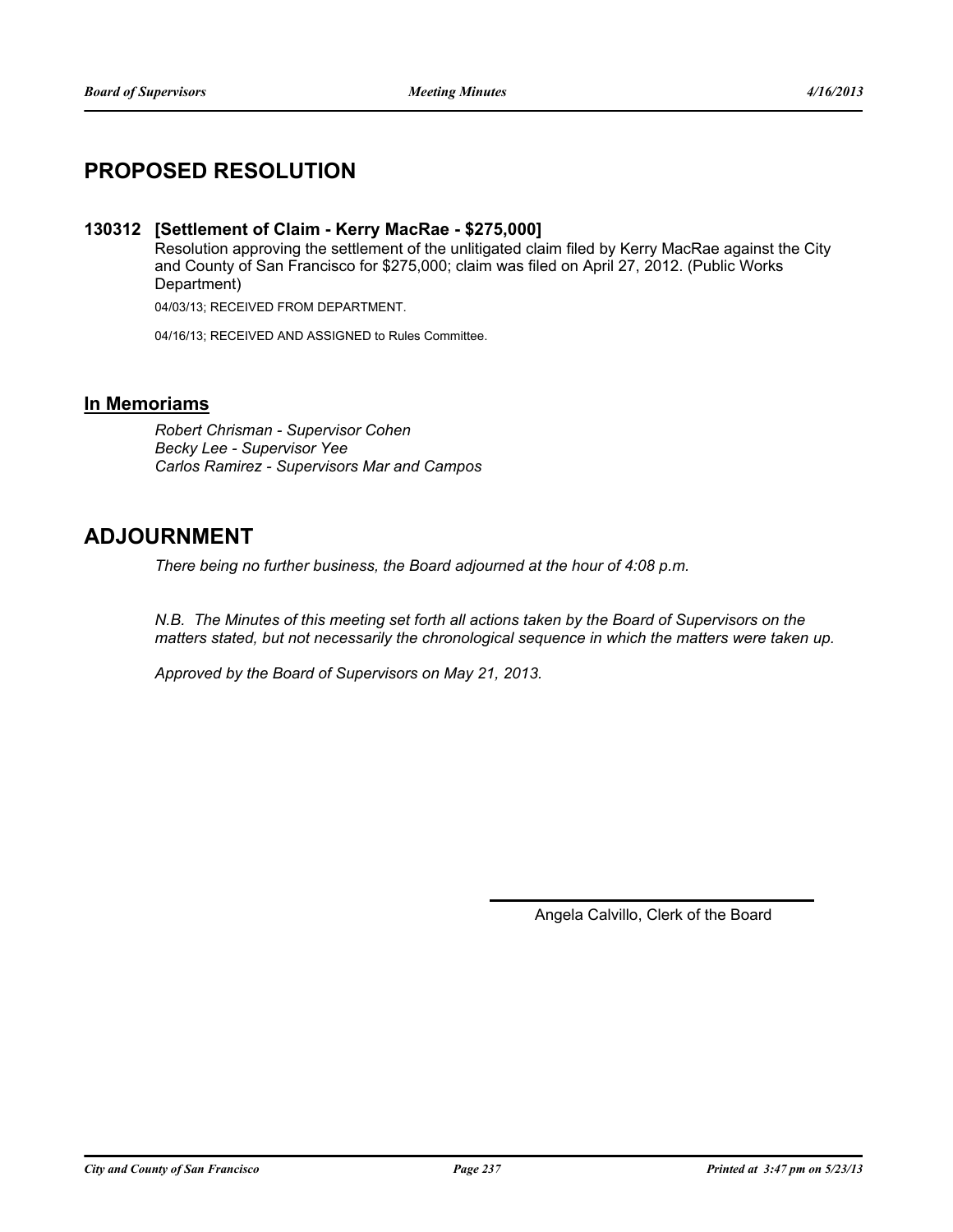## **PROPOSED RESOLUTION**

### **130312 [Settlement of Claim - Kerry MacRae - \$275,000]**

Resolution approving the settlement of the unlitigated claim filed by Kerry MacRae against the City and County of San Francisco for \$275,000; claim was filed on April 27, 2012. (Public Works Department)

04/03/13; RECEIVED FROM DEPARTMENT.

04/16/13; RECEIVED AND ASSIGNED to Rules Committee.

### **In Memoriams**

*Robert Chrisman - Supervisor Cohen Becky Lee - Supervisor Yee Carlos Ramirez - Supervisors Mar and Campos*

## **ADJOURNMENT**

*There being no further business, the Board adjourned at the hour of 4:08 p.m.*

*N.B. The Minutes of this meeting set forth all actions taken by the Board of Supervisors on the matters stated, but not necessarily the chronological sequence in which the matters were taken up.*

*Approved by the Board of Supervisors on May 21, 2013.*

Angela Calvillo, Clerk of the Board